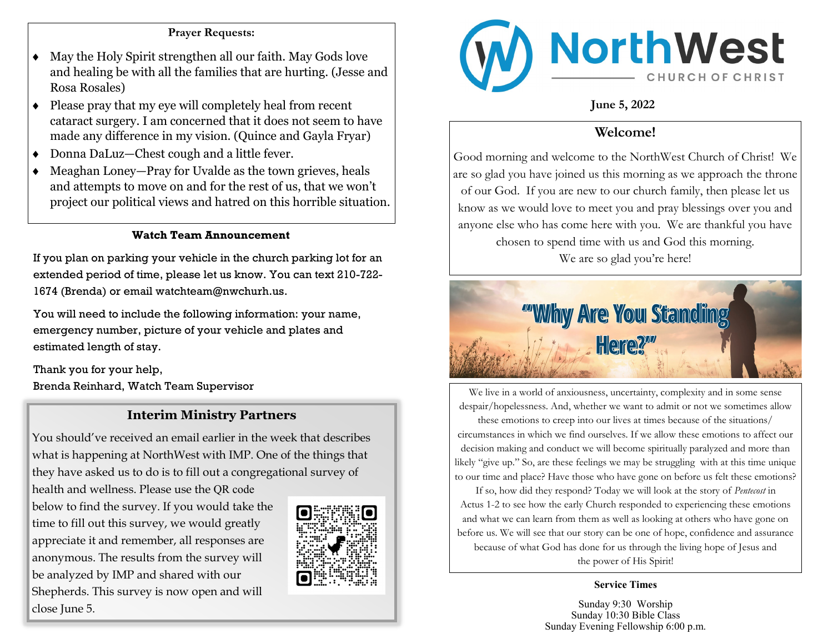#### **Prayer Requests:**

- May the Holy Spirit strengthen all our faith. May Gods love and healing be with all the families that are hurting. (Jesse and Rosa Rosales)
- $\bullet$  Please pray that my eye will completely heal from recent cataract surgery. I am concerned that it does not seem to have made any difference in my vision. (Quince and Gayla Fryar)
- Donna DaLuz—Chest cough and a little fever.
- Meaghan Loney—Pray for Uvalde as the town grieves, heals and attempts to move on and for the rest of us, that we won't project our political views and hatred on this horrible situation.

### **Watch Team Announcement**

If you plan on parking your vehicle in the church parking lot for an extended period of time, please let us know. You can text 210-722- 1674 (Brenda) or email watchteam@nwchurh.us.

You will need to include the following information: your name, emergency number, picture of your vehicle and plates and estimated length of stay.

Thank you for your help, Brenda Reinhard, Watch Team Supervisor

### **Interim Ministry Partners**

You should've received an email earlier in the week that describes what is happening at NorthWest with IMP. One of the things that they have asked us to do is to fill out a congregational survey of health and wellness. Please use the QR code below to find the survey. If you would take the time to fill out this survey, we would greatly appreciate it and remember, all responses are anonymous. The results from the survey will be analyzed by IMP and shared with our Shepherds. This survey is now open and will close June 5.





**June 5, 2022**

## **Welcome!**

Good morning and welcome to the NorthWest Church of Christ! We are so glad you have joined us this morning as we approach the throne of our God. If you are new to our church family, then please let us know as we would love to meet you and pray blessings over you and anyone else who has come here with you. We are thankful you have chosen to spend time with us and God this morning.

We are so glad you're here!



We live in a world of anxiousness, uncertainty, complexity and in some sense despair/hopelessness. And, whether we want to admit or not we sometimes allow

these emotions to creep into our lives at times because of the situations/ circumstances in which we find ourselves. If we allow these emotions to affect our decision making and conduct we will become spiritually paralyzed and more than likely "give up." So, are these feelings we may be struggling with at this time unique to our time and place? Have those who have gone on before us felt these emotions?

If so, how did they respond? Today we will look at the story of *Pentecost* in Actus 1-2 to see how the early Church responded to experiencing these emotions and what we can learn from them as well as looking at others who have gone on before us. We will see that our story can be one of hope, confidence and assurance because of what God has done for us through the living hope of Jesus and the power of His Spirit!

**Service Times**

Sunday 9:30 Worship Sunday 10:30 Bible Class Sunday Evening Fellowship 6:00 p.m.